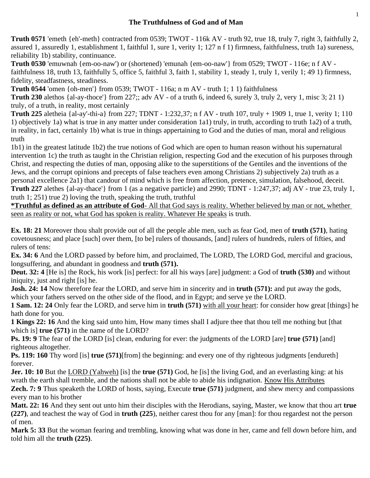## **The Truthfulness of God and of Man**

**Truth 0571** 'emeth {eh'-meth} contracted from 0539; TWOT - 116k AV - truth 92, true 18, truly 7, right 3, faithfully 2, assured 1, assuredly 1, establishment 1, faithful 1, sure 1, verity 1; 127 n f 1) firmness, faithfulness, truth 1a) sureness, reliability 1b) stability, continuance.

**Truth 0530** 'emuwnah {em-oo-naw') or (shortened) 'emunah {em-oo-naw'} from 0529; TWOT - 116e; n f AV faithfulness 18, truth 13, faithfully 5, office 5, faithful 3, faith 1, stability 1, steady 1, truly 1, verily 1; 49 1) firmness, fidelity, steadfastness, steadiness.

**Truth 0544** 'omen {oh-men'} from 0539; TWOT - 116a; n m AV - truth 1; 1 1) faithfulness

**Truth 230** alethos {al-ay-thoce'} from 227;; adv AV - of a truth 6, indeed 6, surely 3, truly 2, very 1, misc 3; 21 1) truly, of a truth, in reality, most certainly

**Truth 225** aletheia {al-ay'-thi-a} from 227; TDNT - 1:232,37; n f AV - truth 107, truly + 1909 1, true 1, verity 1; 110 1) objectively 1a) what is true in any matter under consideration 1a1) truly, in truth, according to truth 1a2) of a truth, in reality, in fact, certainly 1b) what is true in things appertaining to God and the duties of man, moral and religious truth

1b1) in the greatest latitude 1b2) the true notions of God which are open to human reason without his supernatural intervention 1c) the truth as taught in the Christian religion, respecting God and the execution of his purposes through Christ, and respecting the duties of man, opposing alike to the superstitions of the Gentiles and the inventions of the Jews, and the corrupt opinions and precepts of false teachers even among Christians 2) subjectively 2a) truth as a personal excellence 2a1) that candour of mind which is free from affection, pretence, simulation, falsehood, deceit. **Truth 227** alethes {al-ay-thace'} from 1 (as a negative particle) and 2990; TDNT - 1:247,37; adj AV - true 23, truly 1, truth 1; 251) true 2) loving the truth, speaking the truth, truthful

**\*Truthful as defined as an attribute of God**- All that God says is reality. Whether believed by man or not, whether seen as reality or not, what God has spoken is reality. Whatever He speaks is truth.

**Ex. 18: 21** Moreover thou shalt provide out of all the people able men, such as fear God, men of **truth (571)**, hating covetousness; and place [such] over them, [to be] rulers of thousands, [and] rulers of hundreds, rulers of fifties, and rulers of tens:

**Ex. 34: 6** And the LORD passed by before him, and proclaimed, The LORD, The LORD God, merciful and gracious, longsuffering, and abundant in goodness and **truth (571).**

**Deut. 32: 4** [He is] the Rock, his work [is] perfect: for all his ways [are] judgment: a God of **truth (530)** and without iniquity, just and right [is] he.

**Josh. 24: 14** Now therefore fear the LORD, and serve him in sincerity and in **truth (571):** and put away the gods, which your fathers served on the other side of the flood, and in Egypt; and serve ye the LORD.

**1 Sam. 12: 24** Only fear the LORD, and serve him in **truth (571)** with all your heart: for consider how great [things] he hath done for you.

**1 Kings 22: 16** And the king said unto him, How many times shall I adjure thee that thou tell me nothing but [that which is] **true (571)** in the name of the LORD?

**Ps. 19: 9** The fear of the LORD [is] clean, enduring for ever: the judgments of the LORD [are] **true (571)** [and] righteous altogether.

**Ps. 119: 160** Thy word [is] **true (571)**[from] the beginning: and every one of thy righteous judgments [endureth] forever.

**Jer. 10: 10** But the LORD (Yahweh) [is] the **true (571)** God, he [is] the living God, and an everlasting king: at his wrath the earth shall tremble, and the nations shall not be able to abide his indignation. Know His Attributes

**Zech. 7: 9** Thus speaketh the LORD of hosts, saying, Execute **true (571)** judgment, and shew mercy and compassions every man to his brother

**Matt. 22: 16** And they sent out unto him their disciples with the Herodians, saying, Master, we know that thou art **true (227)**, and teachest the way of God in **truth (225**), neither carest thou for any [man]: for thou regardest not the person of men.

**Mark 5: 33** But the woman fearing and trembling, knowing what was done in her, came and fell down before him, and told him all the **truth (225)**.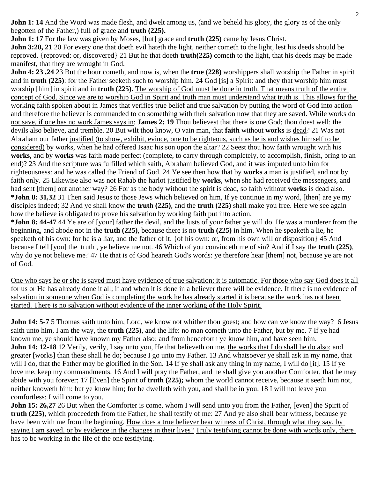**John 1: 14** And the Word was made flesh, and dwelt among us, (and we beheld his glory, the glory as of the only begotten of the Father,) full of grace and **truth (225).**

**John 1: 17** For the law was given by Moses, [but] grace and **truth (225)** came by Jesus Christ. **John 3:20, 21** 20 For every one that doeth evil hateth the light, neither cometh to the light, lest his deeds should be reproved. {reproved: or, discovered} 21 But he that doeth **truth(225)** cometh to the light, that his deeds may be made manifest, that they are wrought in God.

**John 4: 23 ,24** 23 But the hour cometh, and now is, when the **true (228)** worshippers shall worship the Father in spirit and in **truth (225)**: for the Father seeketh such to worship him. 24 God [is] a Spirit: and they that worship him must worship [him] in spirit and in **truth (225).** The worship of God must be done in truth. That means truth of the entire concept of God. Since we are to worship God in Spirit and truth man must understand what truth is. This allows for the working faith spoken about in James that verifies true belief and true salvation by putting the word of God into action and therefore the believer is commanded to do something with their salvation now that they are saved. While works do not save, if one has no work James says in; **James 2: 19** Thou believest that there is one God; thou doest well: the devils also believe, and tremble. 20 But wilt thou know, O vain man, that **faith** without **works** is dead? 21 Was not Abraham our father justified (to show, exhibit, evince, one to be righteous, such as he is and wishes himself to be considered) by works, when he had offered Isaac his son upon the altar? 22 Seest thou how faith wrought with his **works**, and by **works** was faith made perfect (complete, to carry through completely, to accomplish, finish, bring to an end)? 23 And the scripture was fulfilled which saith, Abraham believed God, and it was imputed unto him for righteousness: and he was called the Friend of God. 24 Ye see then how that by **works** a man is justified, and not by faith only. 25 Likewise also was not Rahab the harlot justified by **works**, when she had received the messengers, and had sent [them] out another way? 26 For as the body without the spirit is dead, so faith without **works** is dead also. **\*John 8: 31,32** 31 Then said Jesus to those Jews which believed on him, If ye continue in my word, [then] are ye my disciples indeed; 32 And ye shall know the **truth (225)**, and the **truth (225)** shall make you free. Here we see again how the believe is obligated to prove his salvation by working faith put into action.

**\*John 8: 44-47** 44 Ye are of [your] father the devil, and the lusts of your father ye will do. He was a murderer from the beginning, and abode not in the **truth (225)**, because there is no **truth (225)** in him. When he speaketh a lie, he speaketh of his own: for he is a liar, and the father of it. {of his own: or, from his own will or disposition} 45 And because I tell [you] the truth , ye believe me not. 46 Which of you convinceth me of sin? And if I say the **truth (225)**, why do ye not believe me? 47 He that is of God heareth God's words: ye therefore hear [them] not, because ye are not of God.

One who says he or she is saved must have evidence of true salvation; it is automatic. For those who say God does it all for us or He has already done it all; if and when it is done in a believer there will be evidence. If there is no evidence of salvation in someone when God is completing the work he has already started it is because the work has not been started. There is no salvation without evidence of the inner working of the Holy Spirit.

**John 14: 5-7** 5 Thomas saith unto him, Lord, we know not whither thou goest; and how can we know the way? 6 Jesus saith unto him, I am the way, the **truth (225)**, and the life: no man cometh unto the Father, but by me. 7 If ye had known me, ye should have known my Father also: and from henceforth ye know him, and have seen him. **John 14: 12-18** 12 Verily, verily, I say unto you, He that believeth on me, the works that I do shall he do also; and greater [works] than these shall he do; because I go unto my Father. 13 And whatsoever ye shall ask in my name, that will I do, that the Father may be glorified in the Son. 14 If ye shall ask any thing in my name, I will do [it]. 15 If ye love me, keep my commandments. 16 And I will pray the Father, and he shall give you another Comforter, that he may abide with you forever; 17 [Even] the Spirit of **truth (225);** whom the world cannot receive, because it seeth him not, neither knoweth him: but ye know him; for he dwelleth with you, and shall be in you. 18 I will not leave you comfortless: I will come to you.

**John 15: 26,27** 26 But when the Comforter is come, whom I will send unto you from the Father, [even] the Spirit of **truth (225)**, which proceedeth from the Father, he shall testify of me: 27 And ye also shall bear witness, because ye have been with me from the beginning. How does a true believer bear witness of Christ, through what they say, by saying I am saved, or by evidence in the changes in their lives? Truly testifying cannot be done with words only, there has to be working in the life of the one testifying.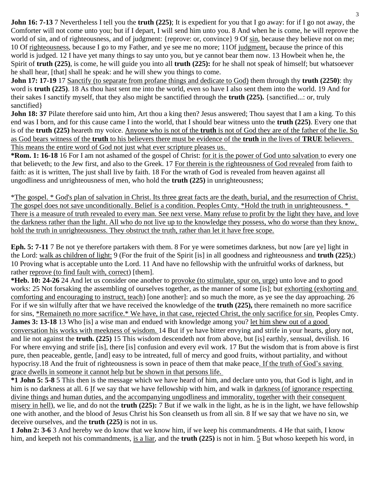**John 16: 7-13** 7 Nevertheless I tell you the **truth (225)**; It is expedient for you that I go away: for if I go not away, the Comforter will not come unto you; but if I depart, I will send him unto you. 8 And when he is come, he will reprove the world of sin, and of righteousness, and of judgment: {reprove: or, convince} 9 Of sin, because they believe not on me; 10 Of righteousness, because I go to my Father, and ye see me no more; 11Of judgment, because the prince of this world is judged. 12 I have yet many things to say unto you, but ye cannot bear them now. 13 Howbeit when he, the Spirit of **truth (225)**, is come, he will guide you into all **truth (225):** for he shall not speak of himself; but whatsoever he shall hear, [that] shall he speak: and he will shew you things to come.

**John 17: 17-19** 17 Sanctify (to separate from profane things and dedicate to God) them through thy **truth (2250)**: thy word is **truth (225)**. 18 As thou hast sent me into the world, even so have I also sent them into the world. 19 And for their sakes I sanctify myself, that they also might be sanctified through the **truth (225).** {sanctified...: or, truly sanctified}

**John 18: 37** Pilate therefore said unto him, Art thou a king then? Jesus answered; Thou sayest that I am a king. To this end was I born, and for this cause came I into the world, that I should bear witness unto the **truth (225)**. Every one that is of the **truth (225)** heareth my voice. Anyone who is not of the **truth** is not of God they are of the father of the lie. So as God bears witness of the **truth** to his believers there must be evidence of the **truth** in the lives of **TRUE** believers. This means the entire word of God not just what ever scripture pleases us.

**\*Rom. 1: 16-18** 16 For I am not ashamed of the gospel of Christ: for it is the power of God unto salvation to every one that believeth; to the Jew first, and also to the Greek. 17 For therein is the righteousness of God revealed from faith to faith: as it is written, The just shall live by faith. 18 For the wrath of God is revealed from heaven against all ungodliness and unrighteousness of men, who hold the **truth (225)** in unrighteousness;

\*The gospel. \* God's plan of salvation in Christ. Its three great facts are the death, burial, and the resurrection of Christ. The gospel does not save unconditionally. Belief is a condition. Peoples Cmty. \*Hold the truth in unrighteousness. \* There is a measure of truth revealed to every man. See next verse. Many refuse to profit by the light they have, and love the darkness rather than the light. All who do not live up to the knowledge they possess, who do worse than they know, hold the truth in unrighteousness. They obstruct the truth, rather than let it have free scope.

**Eph. 5: 7-11** 7 Be not ye therefore partakers with them. 8 For ye were sometimes darkness, but now [are ye] light in the Lord: walk as children of light: 9 (For the fruit of the Spirit [is] in all goodness and righteousness and **truth (225)**;) 10 Proving what is acceptable unto the Lord. 11 And have no fellowship with the unfruitful works of darkness, but rather reprove (to find fault with, correct) [them].

**\*Heb. 10: 24-26** 24 And let us consider one another to provoke (to stimulate, spur on, urge) unto love and to good works: 25 Not forsaking the assembling of ourselves together, as the manner of some [is]; but exhorting (exhorting and comforting and encouraging to instruct, teach) [one another]: and so much the more, as ye see the day approaching. 26 For if we sin wilfully after that we have received the knowledge of the **truth (225),** there remaineth no more sacrifice for sins, \*Remaineth no more sacrifice.\* We have, in that case, rejected Christ, the only sacrifice for sin. Peoples Cmty. **James 3: 13-18** 13 Who [is] a wise man and endued with knowledge among you? let him shew out of a good conversation his works with meekness of wisdom. 14 But if ye have bitter envying and strife in your hearts, glory not, and lie not against the **truth. (225)** 15 This wisdom descendeth not from above, but [is] earthly, sensual, devilish. 16 For where envying and strife [is], there [is] confusion and every evil work. 17 But the wisdom that is from above is first pure, then peaceable, gentle, [and] easy to be intreated, full of mercy and good fruits, without partiality, and without hypocrisy.18 And the fruit of righteousness is sown in peace of them that make peace. If the truth of God's saving grace dwells in someone it cannot help but be shown in that persons life.

**\*1 John 5: 5-8** 5 This then is the message which we have heard of him, and declare unto you, that God is light, and in him is no darkness at all. 6 If we say that we have fellowship with him, and walk in darkness (of ignorance respecting divine things and human duties, and the accompanying ungodliness and immorality, together with their consequent misery in hell), we lie, and do not the **truth (225):** 7 But if we walk in the light, as he is in the light, we have fellowship one with another, and the blood of Jesus Christ his Son cleanseth us from all sin. 8 If we say that we have no sin, we deceive ourselves, and the **truth (225)** is not in us.

**1 John 2: 3-6** 3 And hereby we do know that we know him, if we keep his commandments. 4 He that saith, I know him, and keepeth not his commandments, is a liar, and the **truth (225)** is not in him. 5 But whoso keepeth his word, in